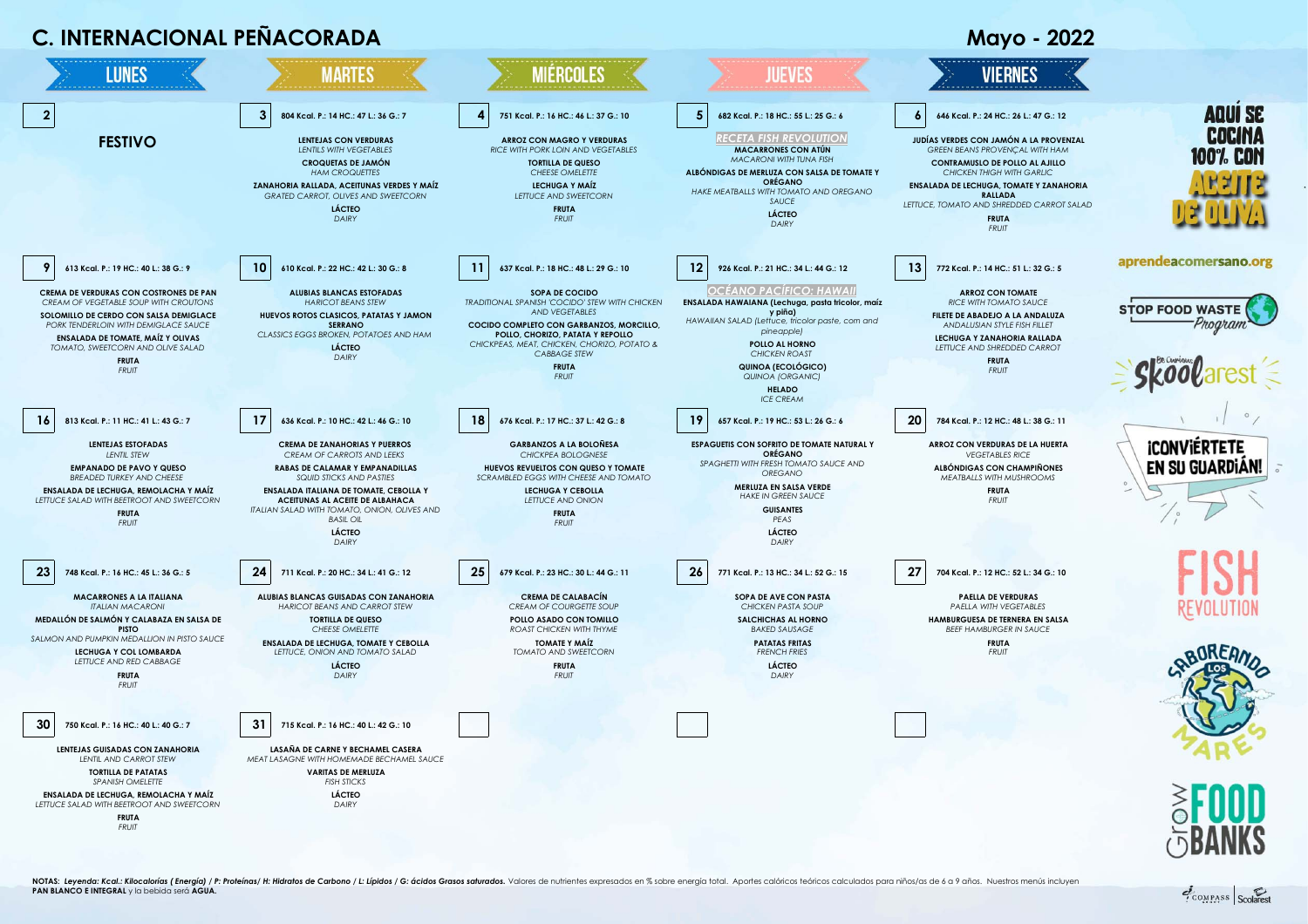## **C. INTERNACIONAL PEÑACORADA** Mayo - 2022



COMPASS Scolares